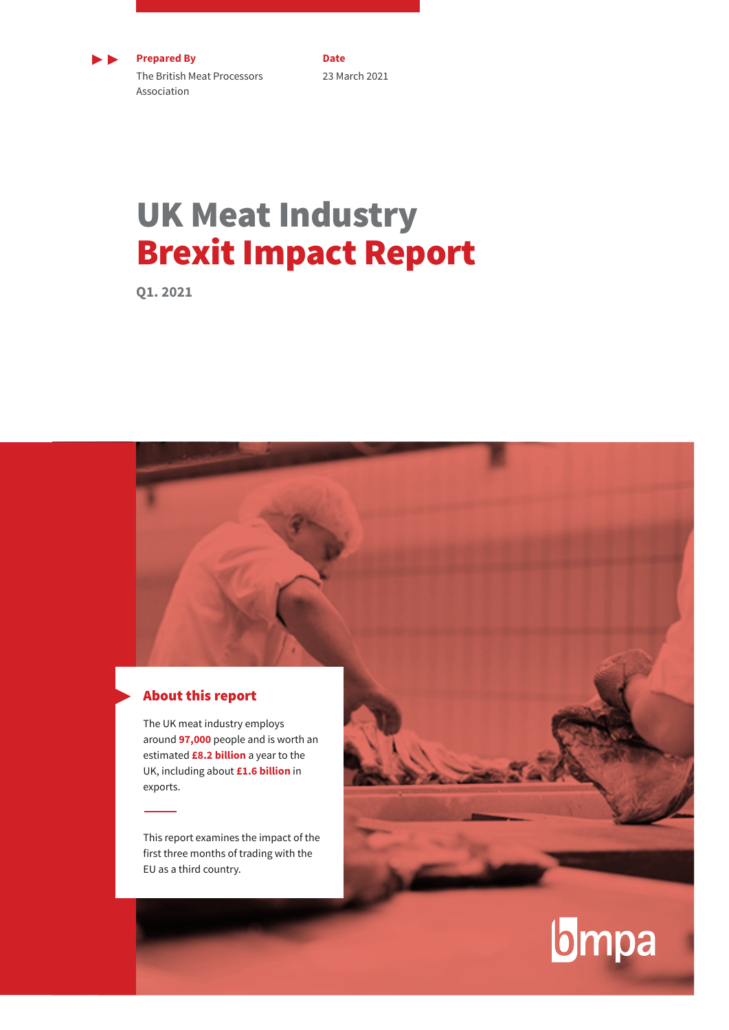

**Prepared By** The British Meat Processors Association

**Date** 23 March 2021

## UK Meat Industry Brexit Impact Report

**Q1. 2021**

### About this report

The UK meat industry employs around **97,000** people and is worth an estimated **£8.2 billion** a year to the UK, including about **£1.6 billion** in exports.

This report examines the impact of the first three months of trading with the EU as a third country.

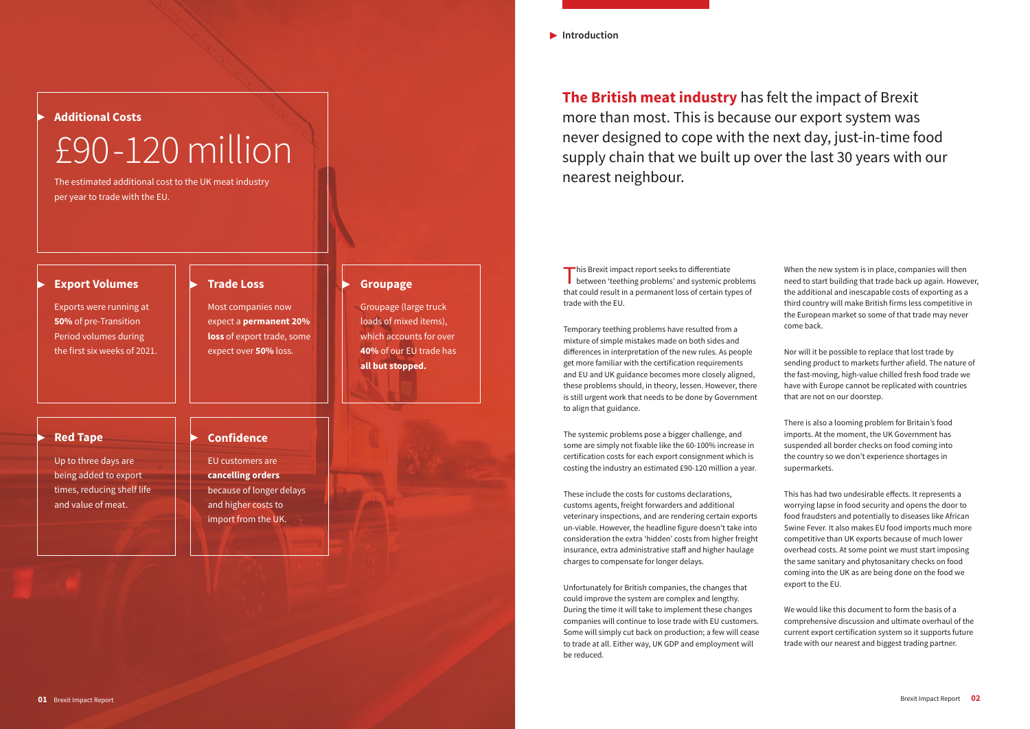**Introduction**

This Brexit impact report seeks to differentiate **b** between 'teething problems' and systemic problems that could result in a permanent loss of certain types of trade with the EU.

Temporary teething problems have resulted from a mixture of simple mistakes made on both sides and differences in interpretation of the new rules. As people get more familiar with the certification requirements and EU and UK guidance becomes more closely aligned, these problems should, in theory, lessen. However, there is still urgent work that needs to be done by Government to align that guidance.

The systemic problems pose a bigger challenge, and some are simply not fixable like the 60-100% increase in certification costs for each export consignment which is costing the industry an estimated £90-120 million a year.

These include the costs for customs declarations, customs agents, freight forwarders and additional veterinary inspections, and are rendering certain exports un-viable. However, the headline figure doesn't take into consideration the extra 'hidden' costs from higher freight insurance, extra administrative staff and higher haulage charges to compensate for longer delays.

Unfortunately for British companies, the changes that could improve the system are complex and lengthy. During the time it will take to implement these changes companies will continue to lose trade with EU customers. Some will simply cut back on production; a few will cease to trade at all. Either way, UK GDP and employment will be reduced.

When the new system is in place, companies will then need to start building that trade back up again. However, the additional and inescapable costs of exporting as a third country will make British firms less competitive in the European market so some of that trade may never come back.

Nor will it be possible to replace that lost trade by sending product to markets further afield. The nature of the fast-moving, high-value chilled fresh food trade we have with Europe cannot be replicated with countries that are not on our doorstep.

There is also a looming problem for Britain's food imports. At the moment, the UK Government has suspended all border checks on food coming into the country so we don't experience shortages in supermarkets.

This has had two undesirable effects. It represents a worrying lapse in food security and opens the door to food fraudsters and potentially to diseases like African Swine Fever. It also makes EU food imports much more competitive than UK exports because of much lower overhead costs. At some point we must start imposing the same sanitary and phytosanitary checks on food coming into the UK as are being done on the food we export to the EU.

We would like this document to form the basis of a comprehensive discussion and ultimate overhaul of the current export certification system so it supports future trade with our nearest and biggest trading partner.

**The British meat industry** has felt the impact of Brexit more than most. This is because our export system was never designed to cope with the next day, just-in-time food supply chain that we built up over the last 30 years with our nearest neighbour.

### **Additional Costs**

# £90-120 million

The estimated additional cost to the UK meat industry per year to trade with the EU.

#### **Red Tape**

Up to three days are being added to export times, reducing shelf life and value of meat.

### **Confidence**

EU customers are **cancelling orders** because of longer delays and higher costs to import from the UK.

#### **Export Volumes**

Exports were running at **50%** of pre-Transition Period volumes during the first six weeks of 2021.

#### **Trade Loss**

Most companies now expect a **permanent 20% loss** of export trade, some expect over **50%** loss.

**Groupage**

Groupage (large truck loads of mixed items), which accounts for over **40%** of our EU trade has

**all but stopped.**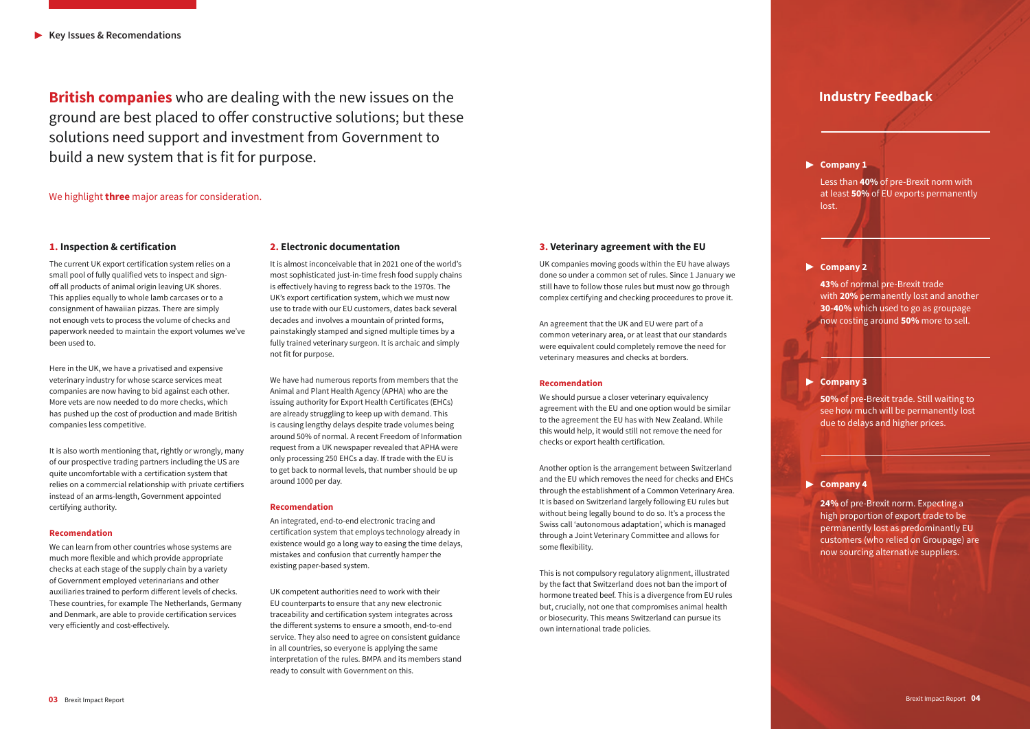#### 1**. Inspection & certification**

The current UK export certification system relies on a small pool of fully qualified vets to inspect and signoff all products of animal origin leaving UK shores. This applies equally to whole lamb carcases or to a consignment of hawaiian pizzas. There are simply not enough vets to process the volume of checks and paperwork needed to maintain the export volumes we've been used to.

Here in the UK, we have a privatised and expensive veterinary industry for whose scarce services meat companies are now having to bid against each other. More vets are now needed to do more checks, which has pushed up the cost of production and made British companies less competitive.

It is also worth mentioning that, rightly or wrongly, many of our prospective trading partners including the US are quite uncomfortable with a certification system that relies on a commercial relationship with private certifiers instead of an arms-length, Government appointed certifying authority.

#### **Recomendation**

We can learn from other countries whose systems are much more flexible and which provide appropriate checks at each stage of the supply chain by a variety of Government employed veterinarians and other auxiliaries trained to perform different levels of checks. These countries, for example The Netherlands, Germany and Denmark, are able to provide certification services very efficiently and cost-effectively.

#### 2**. Electronic documentation**

It is almost inconceivable that in 2021 one of the world's most sophisticated just-in-time fresh food supply chains is effectively having to regress back to the 1970s. The UK's export certification system, which we must now use to trade with our EU customers, dates back several decades and involves a mountain of printed forms, painstakingly stamped and signed multiple times by a fully trained veterinary surgeon. It is archaic and simply not fit for purpose.

We have had numerous reports from members that the Animal and Plant Health Agency (APHA) who are the issuing authority for Export Health Certificates (EHCs) are already struggling to keep up with demand. This is causing lengthy delays despite trade volumes being around 50% of normal. A recent Freedom of Information request from a UK newspaper revealed that APHA were only processing 250 EHCs a day. If trade with the EU is to get back to normal levels, that number should be up around 1000 per day.

#### **Recomendation**

An integrated, end-to-end electronic tracing and certification system that employs technology already in existence would go a long way to easing the time delays, mistakes and confusion that currently hamper the existing paper-based system.

UK competent authorities need to work with their EU counterparts to ensure that any new electronic traceability and certification system integrates across the different systems to ensure a smooth, end-to-end service. They also need to agree on consistent guidance in all countries, so everyone is applying the same interpretation of the rules. BMPA and its members stand ready to consult with Government on this.

#### 3**. Veterinary agreement with the EU**

UK companies moving goods within the EU have always done so under a common set of rules. Since 1 January we still have to follow those rules but must now go through complex certifying and checking proceedures to prove it.

An agreement that the UK and EU were part of a common veterinary area, or at least that our standards were equivalent could completely remove the need for veterinary measures and checks at borders.

#### **Recomendation**

We should pursue a closer veterinary equivalency agreement with the EU and one option would be similar to the agreement the EU has with New Zealand. While this would help, it would still not remove the need for checks or export health certification.

Another option is the arrangement between Switzerland and the EU which removes the need for checks and EHCs through the establishment of a Common Veterinary Area. It is based on Switzerland largely following EU rules but without being legally bound to do so. It's a process the Swiss call 'autonomous adaptation', which is managed through a Joint Veterinary Committee and allows for some flexibility.

This is not compulsory regulatory alignment, illustrated by the fact that Switzerland does not ban the import of hormone treated beef. This is a divergence from EU rules but, crucially, not one that compromises animal health or biosecurity. This means Switzerland can pursue its own international trade policies.

**British companies** who are dealing with the new issues on the ground are best placed to offer constructive solutions; but these solutions need support and investment from Government to build a new system that is fit for purpose.

We highlight **three** major areas for consideration.

### **Industry Feedback**

#### **Company 1**

Less than **40%** of pre-Brexit norm with at least **50%** of EU exports permanently lost.

#### **Company 2**

**43%** of normal pre-Brexit trade with **20%** permanently lost and another **30-40%** which used to go as groupage now costing around **50%** more to sell.

#### **Company 3**

**50%** of pre-Brexit trade. Still waiting to see how much will be permanently lost due to delays and higher prices.

#### **Company 4**

**24%** of pre-Brexit norm. Expecting a high proportion of export trade to be permanently lost as predominantly EU customers (who relied on Groupage) are now sourcing alternative suppliers.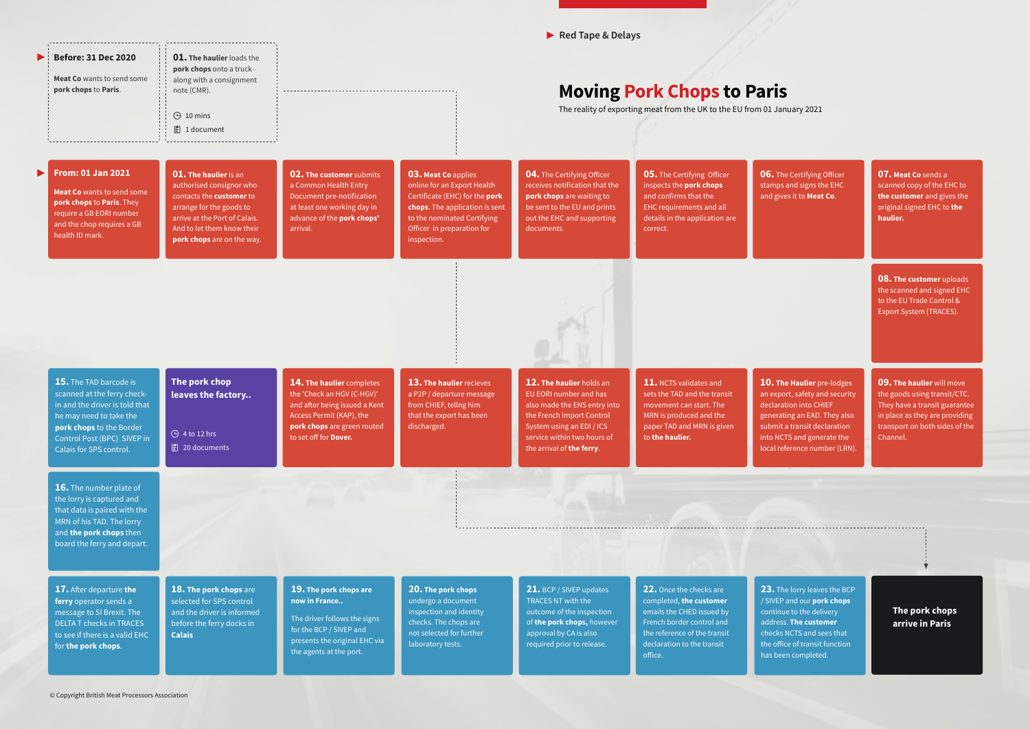**06.** The Certifying Officer  $\overline{\phantom{a}}$  os and signs the EHC ives it to **Meat Co**.

> **08. The customer** uploads the scanned and signed EHC to the EU Trade Control & Export System (TRACES).

**The Haulier** pre-lodges oort, safety and security ration into CHIEF ating an EAD. They also it a transit declaration  $\overline{\text{ICTS}}$  and generate the reference number (LRN).

**23.** The lorry leaves the BCP P and our **pork chops** ue to the delivery ss. **The customer** s NCTS and sees that ffice of transit function een completed.

**The pork chops arrive in Paris**

|                       | <b>Before: 31 Dec 2020</b><br><b>Meat Co</b> wants to send some<br>pork chops to Paris.                                                                                                                  | <b>01. The haulier loads the</b><br>pork chops onto a truck<br>along with a consignment<br>note (CMR).<br>$\bigoplus$ 10 mins<br><b></b> 1 document                                                                  | <b>Moving Pork Chops to Paris</b><br>The reality of exporting meat from the UK to the EU from 01 Jan                                                                                |                                                                                                                                                                                                           |                                                                                                                                                                                                          |                                                                                                                                                                                       |                                                                                 |
|-----------------------|----------------------------------------------------------------------------------------------------------------------------------------------------------------------------------------------------------|----------------------------------------------------------------------------------------------------------------------------------------------------------------------------------------------------------------------|-------------------------------------------------------------------------------------------------------------------------------------------------------------------------------------|-----------------------------------------------------------------------------------------------------------------------------------------------------------------------------------------------------------|----------------------------------------------------------------------------------------------------------------------------------------------------------------------------------------------------------|---------------------------------------------------------------------------------------------------------------------------------------------------------------------------------------|---------------------------------------------------------------------------------|
| $\blacktriangleright$ | <b>From: 01 Jan 2021</b><br><b>Meat Co</b> wants to send some<br>pork chops to Paris. They<br>require a GB EORI number<br>and the chop requires a GB<br>health ID mark.                                  | <b>01. The haulier</b> is an<br>authorised consignor who<br>contacts the <b>customer</b> to<br>arrange for the goods to<br>arrive at the Port of Calais.<br>And to let them know their<br>pork chops are on the way. | <b>02. The customer submits</b><br>a Common Health Entry<br>Document pre-notification<br>at least one working day in<br>advance of the pork chops'<br>arrival.                      | <b>03. Meat Co applies</b><br>online for an Export Health<br>Certificate (EHC) for the pork<br>chops. The application is sent<br>to the nominated Certifying<br>Officer in preparation for<br>inspection. | <b>04.</b> The Certifying Officer<br>receives notification that the<br>pork chops are waiting to<br>be sent to the EU and prints<br>out the EHC and supporting<br>documents.                             | <b>05.</b> The Certifying Officer<br>inspects the pork chops<br>and confirms that the<br><b>EHC requirements and all</b><br>details in the application are<br>correct.                | <b>06.</b> The<br>stamps:<br>and give                                           |
|                       |                                                                                                                                                                                                          |                                                                                                                                                                                                                      |                                                                                                                                                                                     |                                                                                                                                                                                                           |                                                                                                                                                                                                          |                                                                                                                                                                                       |                                                                                 |
|                       | 15. The TAD barcode is<br>scanned at the ferry check-<br>in and the driver is told that<br>he may need to take the<br>pork chops to the Border<br>Control Post (BPC) SIVEP in<br>Calais for SPS control. | The pork chop<br>leaves the factory<br><b>⊕</b> 4 to 12 hrs<br><b>图 20 documents</b>                                                                                                                                 | 14. The haulier completes<br>the 'Check an HGV (C-HGV)'<br>and after being issued a Kent<br>Access Permit (KAP), the<br>pork chops are green routed<br>to set off for <b>Dover.</b> | 13. The haulier recieves<br>a P2P / departure message<br>from CHIEF, tellng him<br>that the export has been<br>discharged.                                                                                | 12. The haulier holds an<br>EU EORI number and has<br>also made the ENS entry into<br>the French Import Control<br>System using an EDI / ICS<br>service within two hours of<br>the arrival of the ferry. | 11. NCTS validates and<br>sets the TAD and the transit<br>movement can start. The<br>MRN is produced and the<br>paper TAD and MRN is given<br>to the haulier.                         | 10. The<br>an expo<br>declarat<br>generati<br>submit a<br>into NC1<br>local ref |
|                       | <b>16.</b> The number plate of<br>the lorry is captured and<br>that data is paired with the<br>MRN of his TAD. The lorry<br>and the pork chops then<br>board the ferry and depart.                       |                                                                                                                                                                                                                      |                                                                                                                                                                                     |                                                                                                                                                                                                           |                                                                                                                                                                                                          |                                                                                                                                                                                       |                                                                                 |
|                       | 17. After departure the<br>ferry operator sends a<br>message to SI Brexit. The<br><b>DELTA T checks in TRACES</b><br>to see if there is a valid EHC<br>for the pork chops.                               | 18. The pork chops are<br>selected for SPS control<br>and the driver is informed<br>before the ferry docks in<br><b>Calais</b>                                                                                       | 19. The pork chops are<br>now in France<br>The driver follows the signs<br>for the BCP / SIVEP and<br>presents the original EHC via<br>the agents at the port.                      | 20. The pork chops<br>undergo a document<br>inspection and identity<br>checks. The chops are<br>not selected for further<br>laboratory tests.                                                             | 21. BCP / SIVEP updates<br><b>TRACES NT with the</b><br>outcome of the inspection<br>of the pork chops, however<br>approval by CA is also<br>required prior to release.                                  | 22. Once the checks are<br>completed, the customer<br>emails the CHED issued by<br>French border control and<br>the reference of the transit<br>declaration to the transit<br>office. | 23. The<br>/ SIVEP<br>continu<br>address<br>checks I<br>the offic<br>has bee    |

**07. Meat Co** sends a scanned copy of the EHC to **the customer** and gives the original signed EHC to **the haulier.**

**09. The haulier** will move the goods using transit/CTC. They have a transit guarantee in place as they are providing transport on both sides of the Channel.

**Red Tape & Delays**

# anuary 2021